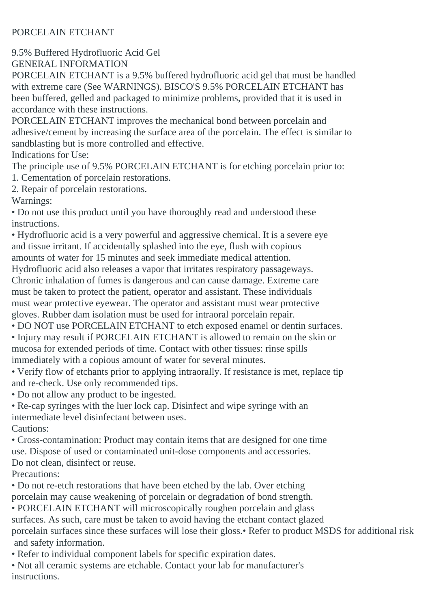## PORCELAIN ETCHANT

9.5% Buffered Hydrofluoric Acid Gel

GENERAL INFORMATION

PORCELAIN ETCHANT is a 9.5% buffered hydrofluoric acid gel that must be handled with extreme care (See WARNINGS). BISCO'S 9.5% PORCELAIN ETCHANT has been buffered, gelled and packaged to minimize problems, provided that it is used in accordance with these instructions.

PORCELAIN ETCHANT improves the mechanical bond between porcelain and adhesive/cement by increasing the surface area of the porcelain. The effect is similar to sandblasting but is more controlled and effective.

Indications for Use:

The principle use of 9.5% PORCELAIN ETCHANT is for etching porcelain prior to: 1. Cementation of porcelain restorations.

2. Repair of porcelain restorations.

Warnings:

• Do not use this product until you have thoroughly read and understood these instructions.

• Hydrofluoric acid is a very powerful and aggressive chemical. It is a severe eye and tissue irritant. If accidentally splashed into the eye, flush with copious amounts of water for 15 minutes and seek immediate medical attention.

Hydrofluoric acid also releases a vapor that irritates respiratory passageways.

Chronic inhalation of fumes is dangerous and can cause damage. Extreme care must be taken to protect the patient, operator and assistant. These individuals must wear protective eyewear. The operator and assistant must wear protective gloves. Rubber dam isolation must be used for intraoral porcelain repair.

- DO NOT use PORCELAIN ETCHANT to etch exposed enamel or dentin surfaces.
- Injury may result if PORCELAIN ETCHANT is allowed to remain on the skin or mucosa for extended periods of time. Contact with other tissues: rinse spills immediately with a copious amount of water for several minutes.
- Verify flow of etchants prior to applying intraorally. If resistance is met, replace tip and re-check. Use only recommended tips.
- Do not allow any product to be ingested.
- Re-cap syringes with the luer lock cap. Disinfect and wipe syringe with an intermediate level disinfectant between uses. Cautions:

• Cross-contamination: Product may contain items that are designed for one time use. Dispose of used or contaminated unit-dose components and accessories. Do not clean, disinfect or reuse.

Precautions:

• Do not re-etch restorations that have been etched by the lab. Over etching porcelain may cause weakening of porcelain or degradation of bond strength.

• PORCELAIN ETCHANT will microscopically roughen porcelain and glass surfaces. As such, care must be taken to avoid having the etchant contact glazed porcelain surfaces since these surfaces will lose their gloss.• Refer to product MSDS for additional risk and safety information.

- Refer to individual component labels for specific expiration dates.
- Not all ceramic systems are etchable. Contact your lab for manufacturer's instructions.